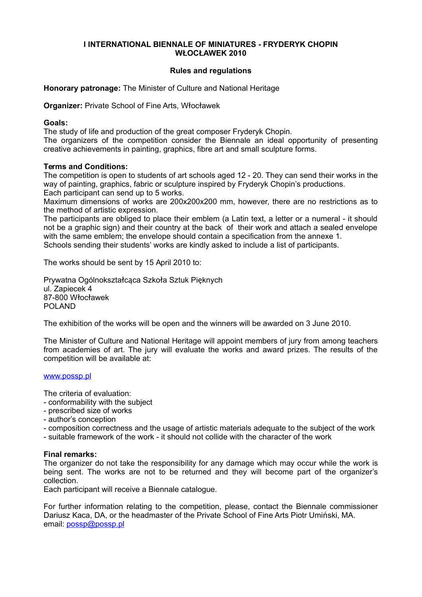#### **I INTERNATIONAL BIENNALE OF MINIATURES - FRYDERYK CHOPIN WŁOCŁAWEK 2010**

## **Rules and regulations**

**Honorary patronage:** The Minister of Culture and National Heritage

**Organizer:** Private School of Fine Arts, Włocławek

### **Goals:**

The study of life and production of the great composer Fryderyk Chopin.

The organizers of the competition consider the Biennale an ideal opportunity of presenting creative achievements in painting, graphics, fibre art and small sculpture forms.

### **Terms and Conditions:**

The competition is open to students of art schools aged 12 - 20. They can send their works in the way of painting, graphics, fabric or sculpture inspired by Fryderyk Chopin's productions. Each participant can send up to 5 works.

Maximum dimensions of works are 200x200x200 mm, however, there are no restrictions as to the method of artistic expression.

The participants are obliged to place their emblem (a Latin text, a letter or a numeral - it should not be a graphic sign) and their country at the back of their work and attach a sealed envelope with the same emblem; the envelope should contain a specification from the annexe 1. Schools sending their students' works are kindly asked to include a list of participants.

The works should be sent by 15 April 2010 to:

Prywatna Ogólnokształcąca Szkoła Sztuk Pięknych ul. Zapiecek 4 87-800 Włocławek POLAND

The exhibition of the works will be open and the winners will be awarded on 3 June 2010.

The Minister of Culture and National Heritage will appoint members of jury from among teachers from academies of art. The jury will evaluate the works and award prizes. The results of the competition will be available at:

#### [www.possp.pl](http://www.possp.pl/)

The criteria of evaluation:

- conformability with the subject
- prescribed size of works
- author's conception
- composition correctness and the usage of artistic materials adequate to the subject of the work
- suitable framework of the work it should not collide with the character of the work

## **Final remarks:**

The organizer do not take the responsibility for any damage which may occur while the work is being sent. The works are not to be returned and they will become part of the organizer's collection.

Each participant will receive a Biennale catalogue.

For further information relating to the competition, please, contact the Biennale commissioner Dariusz Kaca, DA, or the headmaster of the Private School of Fine Arts Piotr Umiński, MA. email: [possp@possp.pl](mailto:possp@possp.pl)